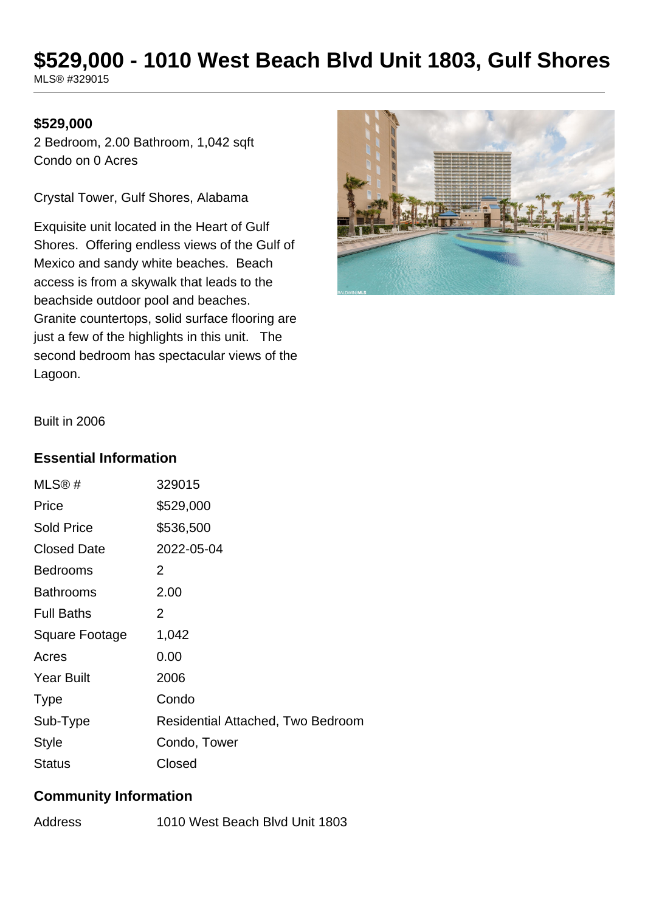# **\$529,000 - 1010 West Beach Blvd Unit 1803, Gulf Shores**

MLS® #329015

#### **\$529,000**

2 Bedroom, 2.00 Bathroom, 1,042 sqft Condo on 0 Acres

Crystal Tower, Gulf Shores, Alabama

Exquisite unit located in the Heart of Gulf Shores. Offering endless views of the Gulf of Mexico and sandy white beaches. Beach access is from a skywalk that leads to the beachside outdoor pool and beaches. Granite countertops, solid surface flooring are just a few of the highlights in this unit. The second bedroom has spectacular views of the Lagoon.



Built in 2006

#### **Essential Information**

| MLS@#              | 329015                            |
|--------------------|-----------------------------------|
| Price              | \$529,000                         |
| <b>Sold Price</b>  | \$536,500                         |
| <b>Closed Date</b> | 2022-05-04                        |
| <b>Bedrooms</b>    | 2                                 |
| <b>Bathrooms</b>   | 2.00                              |
| <b>Full Baths</b>  | 2                                 |
| Square Footage     | 1,042                             |
| Acres              | 0.00                              |
| <b>Year Built</b>  | 2006                              |
| <b>Type</b>        | Condo                             |
| Sub-Type           | Residential Attached, Two Bedroom |
| <b>Style</b>       | Condo, Tower                      |
| <b>Status</b>      | Closed                            |

#### **Community Information**

Address 1010 West Beach Blvd Unit 1803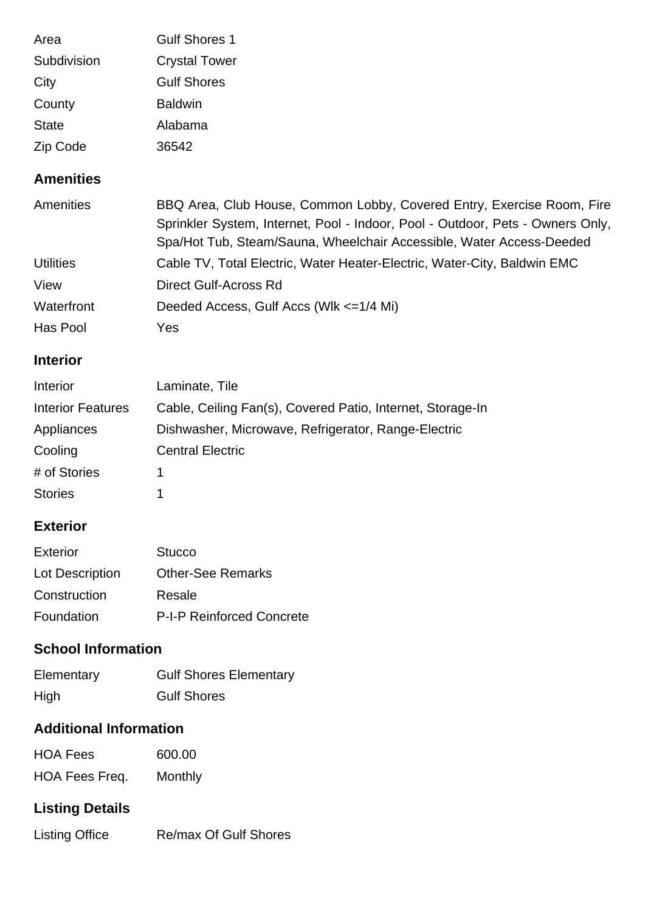| Gulf Shores 1        |
|----------------------|
| <b>Crystal Tower</b> |
| <b>Gulf Shores</b>   |
| <b>Baldwin</b>       |
| Alabama              |
| 36542                |
|                      |

## **Amenities**

| Amenities        | BBQ Area, Club House, Common Lobby, Covered Entry, Exercise Room, Fire         |
|------------------|--------------------------------------------------------------------------------|
|                  | Sprinkler System, Internet, Pool - Indoor, Pool - Outdoor, Pets - Owners Only, |
|                  | Spa/Hot Tub, Steam/Sauna, Wheelchair Accessible, Water Access-Deeded           |
| <b>Utilities</b> | Cable TV, Total Electric, Water Heater-Electric, Water-City, Baldwin EMC       |
| View             | Direct Gulf-Across Rd                                                          |
| Waterfront       | Deeded Access, Gulf Accs (Wlk <= 1/4 Mi)                                       |
| Has Pool         | Yes                                                                            |

#### **Interior**

| Interior                 | Laminate, Tile                                             |
|--------------------------|------------------------------------------------------------|
| <b>Interior Features</b> | Cable, Ceiling Fan(s), Covered Patio, Internet, Storage-In |
| Appliances               | Dishwasher, Microwave, Refrigerator, Range-Electric        |
| Cooling                  | <b>Central Electric</b>                                    |
| # of Stories             |                                                            |
| <b>Stories</b>           |                                                            |

#### **Exterior**

| Exterior               | <b>Stucco</b>                    |
|------------------------|----------------------------------|
| <b>Lot Description</b> | <b>Other-See Remarks</b>         |
| Construction           | Resale                           |
| Foundation             | <b>P-I-P Reinforced Concrete</b> |

## **School Information**

| Elementary | <b>Gulf Shores Elementary</b> |
|------------|-------------------------------|
| High       | <b>Gulf Shores</b>            |

## **Additional Information**

| <b>HOA Fees</b> | 600.00  |
|-----------------|---------|
| HOA Fees Freq.  | Monthly |

## **Listing Details**

| <b>Listing Office</b> | <b>Re/max Of Gulf Shores</b> |
|-----------------------|------------------------------|
|                       |                              |